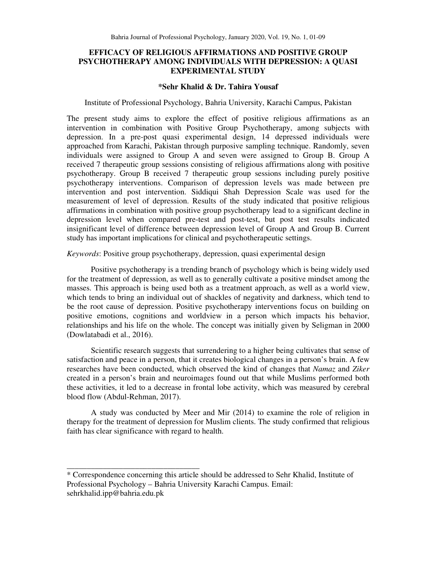# **EFFICACY OF RELIGIOUS AFFIRMATIONS AND POSITIVE GROUP PSYCHOTHERAPY AMONG INDIVIDUALS WITH DEPRESSION: A QUASI EXPERIMENTAL STUDY**

## **\*Sehr Khalid & Dr. Tahira Yousaf**

### Institute of Professional Psychology, Bahria University, Karachi Campus, Pakistan

The present study aims to explore the effect of positive religious affirmations as an intervention in combination with Positive Group Psychotherapy, among subjects with depression. In a pre-post quasi experimental design, 14 depressed individuals were approached from Karachi, Pakistan through purposive sampling technique. Randomly, seven individuals were assigned to Group A and seven were assigned to Group B. Group A received 7 therapeutic group sessions consisting of religious affirmations along with positive psychotherapy. Group B received 7 therapeutic group sessions including purely positive psychotherapy interventions. Comparison of depression levels was made between pre intervention and post intervention. Siddiqui Shah Depression Scale was used for the measurement of level of depression. Results of the study indicated that positive religious affirmations in combination with positive group psychotherapy lead to a significant decline in depression level when compared pre-test and post-test, but post test results indicated insignificant level of difference between depression level of Group A and Group B. Current study has important implications for clinical and psychotherapeutic settings.

### *Keywords*: Positive group psychotherapy, depression, quasi experimental design

Positive psychotherapy is a trending branch of psychology which is being widely used for the treatment of depression, as well as to generally cultivate a positive mindset among the masses. This approach is being used both as a treatment approach, as well as a world view, which tends to bring an individual out of shackles of negativity and darkness, which tend to be the root cause of depression. Positive psychotherapy interventions focus on building on positive emotions, cognitions and worldview in a person which impacts his behavior, relationships and his life on the whole. The concept was initially given by Seligman in 2000 (Dowlatabadi et al., 2016).

Scientific research suggests that surrendering to a higher being cultivates that sense of satisfaction and peace in a person, that it creates biological changes in a person's brain. A few researches have been conducted, which observed the kind of changes that *Namaz* and *Ziker* created in a person's brain and neuroimages found out that while Muslims performed both these activities, it led to a decrease in frontal lobe activity, which was measured by cerebral blood flow (Abdul-Rehman, 2017).

A study was conducted by Meer and Mir (2014) to examine the role of religion in therapy for the treatment of depression for Muslim clients. The study confirmed that religious faith has clear significance with regard to health.

\_\_\_\_\_\_\_\_\_\_\_\_\_\_\_\_\_\_\_\_\_\_\_\_\_\_\_\_\_\_\_\_\_

<sup>\*</sup> Correspondence concerning this article should be addressed to Sehr Khalid, Institute of Professional Psychology – Bahria University Karachi Campus. Email: sehrkhalid.ipp@bahria.edu.pk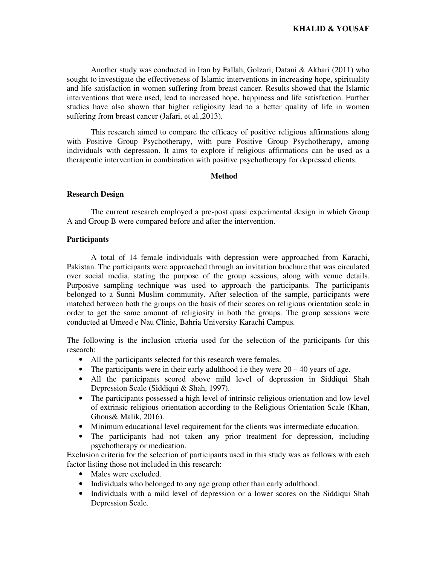Another study was conducted in Iran by Fallah, Golzari, Datani & Akbari (2011) who sought to investigate the effectiveness of Islamic interventions in increasing hope, spirituality and life satisfaction in women suffering from breast cancer. Results showed that the Islamic interventions that were used, lead to increased hope, happiness and life satisfaction. Further studies have also shown that higher religiosity lead to a better quality of life in women suffering from breast cancer (Jafari, et al.,2013).

This research aimed to compare the efficacy of positive religious affirmations along with Positive Group Psychotherapy, with pure Positive Group Psychotherapy, among individuals with depression. It aims to explore if religious affirmations can be used as a therapeutic intervention in combination with positive psychotherapy for depressed clients.

# **Method**

## **Research Design**

The current research employed a pre-post quasi experimental design in which Group A and Group B were compared before and after the intervention.

## **Participants**

 A total of 14 female individuals with depression were approached from Karachi, Pakistan. The participants were approached through an invitation brochure that was circulated over social media, stating the purpose of the group sessions, along with venue details. Purposive sampling technique was used to approach the participants. The participants belonged to a Sunni Muslim community. After selection of the sample, participants were matched between both the groups on the basis of their scores on religious orientation scale in order to get the same amount of religiosity in both the groups. The group sessions were conducted at Umeed e Nau Clinic, Bahria University Karachi Campus.

The following is the inclusion criteria used for the selection of the participants for this research:

- All the participants selected for this research were females.
- The participants were in their early adulthood i.e they were  $20 40$  years of age.
- All the participants scored above mild level of depression in Siddiqui Shah Depression Scale (Siddiqui & Shah, 1997).
- The participants possessed a high level of intrinsic religious orientation and low level of extrinsic religious orientation according to the Religious Orientation Scale (Khan, Ghous& Malik, 2016).
- Minimum educational level requirement for the clients was intermediate education.
- The participants had not taken any prior treatment for depression, including psychotherapy or medication.

Exclusion criteria for the selection of participants used in this study was as follows with each factor listing those not included in this research:

- Males were excluded.
- Individuals who belonged to any age group other than early adulthood.
- Individuals with a mild level of depression or a lower scores on the Siddiqui Shah Depression Scale.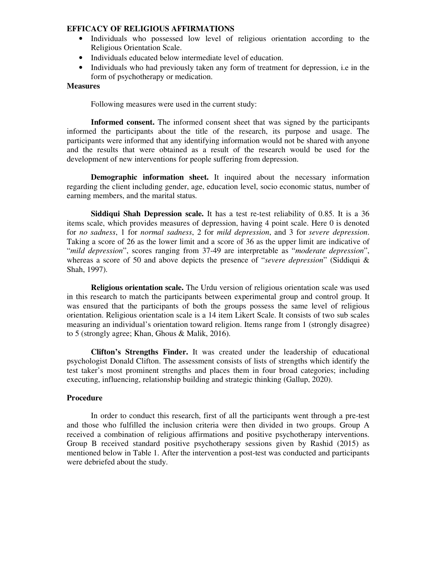## **EFFICACY OF RELIGIOUS AFFIRMATIONS**

- Individuals who possessed low level of religious orientation according to the Religious Orientation Scale.
- Individuals educated below intermediate level of education.
- Individuals who had previously taken any form of treatment for depression, i.e in the form of psychotherapy or medication.

## **Measures**

Following measures were used in the current study:

**Informed consent.** The informed consent sheet that was signed by the participants informed the participants about the title of the research, its purpose and usage. The participants were informed that any identifying information would not be shared with anyone and the results that were obtained as a result of the research would be used for the development of new interventions for people suffering from depression.

**Demographic information sheet.** It inquired about the necessary information regarding the client including gender, age, education level, socio economic status, number of earning members, and the marital status.

**Siddiqui Shah Depression scale.** It has a test re-test reliability of 0.85. It is a 36 items scale, which provides measures of depression, having 4 point scale. Here 0 is denoted for *no sadness*, 1 for *normal sadness*, 2 for *mild depression*, and 3 for *severe depression*. Taking a score of 26 as the lower limit and a score of 36 as the upper limit are indicative of "*mild depression*", scores ranging from 37-49 are interpretable as "*moderate depression*", whereas a score of 50 and above depicts the presence of "*severe depression*" (Siddiqui & Shah, 1997).

**Religious orientation scale.** The Urdu version of religious orientation scale was used in this research to match the participants between experimental group and control group. It was ensured that the participants of both the groups possess the same level of religious orientation. Religious orientation scale is a 14 item Likert Scale. It consists of two sub scales measuring an individual's orientation toward religion. Items range from 1 (strongly disagree) to 5 (strongly agree; Khan, Ghous & Malik, 2016).

**Clifton's Strengths Finder.** It was created under the leadership of educational psychologist Donald Clifton. The assessment consists of lists of strengths which identify the test taker's most prominent strengths and places them in four broad categories; including executing, influencing, relationship building and strategic thinking (Gallup, 2020).

# **Procedure**

In order to conduct this research, first of all the participants went through a pre-test and those who fulfilled the inclusion criteria were then divided in two groups. Group A received a combination of religious affirmations and positive psychotherapy interventions. Group B received standard positive psychotherapy sessions given by Rashid (2015) as mentioned below in Table 1. After the intervention a post-test was conducted and participants were debriefed about the study.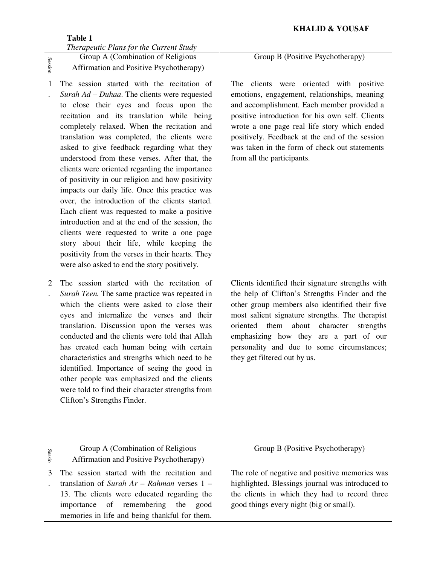## **Table 1**

*Therapeutic Plans for the Current Study*  Group A (Combination of Religious

Session

Affirmation and Positive Psychotherapy)

- 1 . The session started with the recitation of *Surah Ad – Duhaa*. The clients were requested to close their eyes and focus upon the recitation and its translation while being completely relaxed. When the recitation and translation was completed, the clients were asked to give feedback regarding what they understood from these verses. After that, the clients were oriented regarding the importance of positivity in our religion and how positivity impacts our daily life. Once this practice was over, the introduction of the clients started. Each client was requested to make a positive introduction and at the end of the session, the clients were requested to write a one page story about their life, while keeping the positivity from the verses in their hearts. They were also asked to end the story positively.
- 2 The session started with the recitation of . *Surah Teen.* The same practice was repeated in which the clients were asked to close their eyes and internalize the verses and their translation. Discussion upon the verses was conducted and the clients were told that Allah has created each human being with certain characteristics and strengths which need to be identified. Importance of seeing the good in other people was emphasized and the clients were told to find their character strengths from Clifton's Strengths Finder.

Group B (Positive Psychotherapy)

The clients were oriented with positive emotions, engagement, relationships, meaning and accomplishment. Each member provided a positive introduction for his own self. Clients wrote a one page real life story which ended positively. Feedback at the end of the session was taken in the form of check out statements from all the participants.

 Clients identified their signature strengths with the help of Clifton's Strengths Finder and the other group members also identified their five most salient signature strengths. The therapist oriented them about character strengths emphasizing how they are a part of our personality and due to some circumstances; they get filtered out by us.

| Sessio | Group A (Combination of Religious<br>Affirmation and Positive Psychotherapy) | Group B (Positive Psychotherapy)                 |  |  |  |  |
|--------|------------------------------------------------------------------------------|--------------------------------------------------|--|--|--|--|
|        | The session started with the recitation and                                  | The role of negative and positive memories was   |  |  |  |  |
|        | translation of Surah $Ar - Rahman$ verses $1 -$                              | highlighted. Blessings journal was introduced to |  |  |  |  |
|        | 13. The clients were educated regarding the                                  | the clients in which they had to record three    |  |  |  |  |
|        | importance of remembering the<br>good                                        | good things every night (big or small).          |  |  |  |  |
|        | memories in life and being thankful for them.                                |                                                  |  |  |  |  |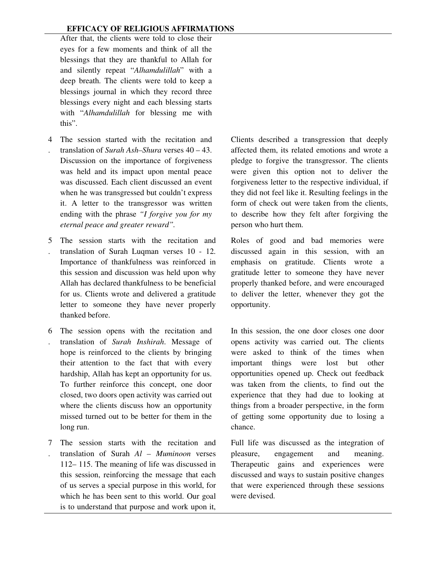After that, the clients were told to close their eyes for a few moments and think of all the blessings that they are thankful to Allah for and silently repeat "*Alhamdulillah*" with a deep breath. The clients were told to keep a blessings journal in which they record three blessings every night and each blessing starts with "*Alhamdulillah* for blessing me with this".

- 4 The session started with the recitation and . translation of *Surah Ash–Shura* verses 40 – 43. Discussion on the importance of forgiveness was held and its impact upon mental peace was discussed. Each client discussed an event when he was transgressed but couldn't express it. A letter to the transgressor was written ending with the phrase *"I forgive you for my eternal peace and greater reward".*
- 5 The session starts with the recitation and . translation of Surah Luqman verses 10 - 12. Importance of thankfulness was reinforced in this session and discussion was held upon why Allah has declared thankfulness to be beneficial for us. Clients wrote and delivered a gratitude letter to someone they have never properly thanked before.
- 6 The session opens with the recitation and . translation of *Surah Inshirah*. Message of hope is reinforced to the clients by bringing their attention to the fact that with every hardship, Allah has kept an opportunity for us. To further reinforce this concept, one door closed, two doors open activity was carried out where the clients discuss how an opportunity missed turned out to be better for them in the long run.
- 7 The session starts with the recitation and . translation of Surah *Al – Muminoon* verses 112– 115. The meaning of life was discussed in this session, reinforcing the message that each of us serves a special purpose in this world, for which he has been sent to this world. Our goal is to understand that purpose and work upon it,

 Clients described a transgression that deeply affected them, its related emotions and wrote a pledge to forgive the transgressor. The clients were given this option not to deliver the forgiveness letter to the respective individual, if they did not feel like it. Resulting feelings in the form of check out were taken from the clients, to describe how they felt after forgiving the person who hurt them.

 Roles of good and bad memories were discussed again in this session, with an emphasis on gratitude. Clients wrote a gratitude letter to someone they have never properly thanked before, and were encouraged to deliver the letter, whenever they got the opportunity.

 In this session, the one door closes one door opens activity was carried out. The clients were asked to think of the times when important things were lost but other opportunities opened up. Check out feedback was taken from the clients, to find out the experience that they had due to looking at things from a broader perspective, in the form of getting some opportunity due to losing a chance.

 Full life was discussed as the integration of pleasure, engagement and meaning. Therapeutic gains and experiences were discussed and ways to sustain positive changes that were experienced through these sessions were devised.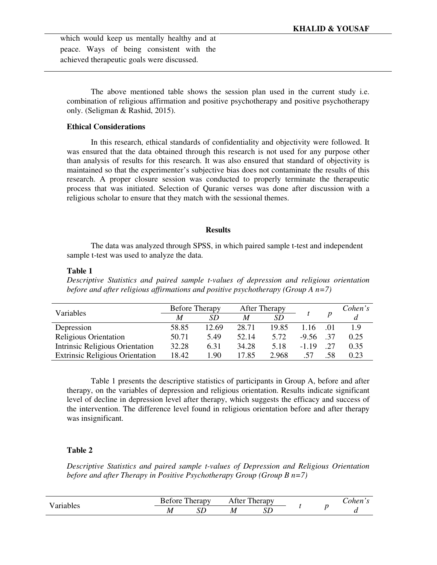which would keep us mentally healthy and at peace. Ways of being consistent with the achieved therapeutic goals were discussed.

The above mentioned table shows the session plan used in the current study i.e. combination of religious affirmation and positive psychotherapy and positive psychotherapy only. (Seligman & Rashid, 2015).

## **Ethical Considerations**

In this research, ethical standards of confidentiality and objectivity were followed. It was ensured that the data obtained through this research is not used for any purpose other than analysis of results for this research. It was also ensured that standard of objectivity is maintained so that the experimenter's subjective bias does not contaminate the results of this research. A proper closure session was conducted to properly terminate the therapeutic process that was initiated. Selection of Quranic verses was done after discussion with a religious scholar to ensure that they match with the sessional themes.

#### **Results**

 The data was analyzed through SPSS, in which paired sample t-test and independent sample t-test was used to analyze the data.

#### **Table 1**

*Descriptive Statistics and paired sample t-values of depression and religious orientation before and after religious affirmations and positive psychotherapy (Group A n=7)*

| Variables                              | <b>Before Therapy</b> |           | <b>After Therapy</b> |       |         |      | Cohen's |
|----------------------------------------|-----------------------|-----------|----------------------|-------|---------|------|---------|
|                                        | M                     | <i>SD</i> | M                    | SD    |         |      |         |
| Depression                             | 58.85                 | 12.69     | 28.71                | 19.85 | 1.16    | .01  | 1.9     |
| Religious Orientation                  | 50.71                 | 5.49      | 52.14                | 5.72  | $-9.56$ | - 37 | 0.25    |
| Intrinsic Religious Orientation        | 32.28                 | 6.31      | 34.28                | 5.18  | $-119$  | 27   | 0.35    |
| <b>Extrinsic Religious Orientation</b> | 18.42                 | 1.90      | 17.85                | 2.968 | .57     | -58  | 0.23    |

Table 1 presents the descriptive statistics of participants in Group A, before and after therapy, on the variables of depression and religious orientation. Results indicate significant level of decline in depression level after therapy, which suggests the efficacy and success of the intervention. The difference level found in religious orientation before and after therapy was insignificant.

### **Table 2**

*Descriptive Statistics and paired sample t-values of Depression and Religious Orientation before and after Therapy in Positive Psychotherapy Group (Group B n=7)*

| T<br>$\sim$ $-$ | <b>CONTACT</b><br>$\mathbf{r}$<br>herapy<br>^יי^ |  | herapy<br>⊺fer<br>ΑI |     |  | $\alpha$ la $\alpha$ ta |
|-----------------|--------------------------------------------------|--|----------------------|-----|--|-------------------------|
| .               | IИ                                               |  | М                    | IJΓ |  |                         |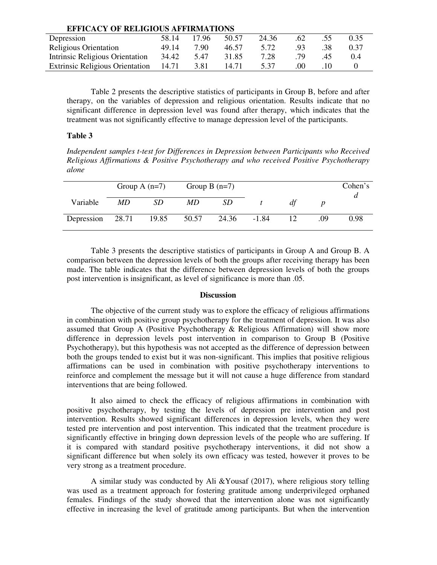| <b>EFFICACY OF RELIGIOUS AFFIRMATIONS</b> |       |       |       |       |     |     |      |  |  |
|-------------------------------------------|-------|-------|-------|-------|-----|-----|------|--|--|
| Depression                                | 58.14 | 17.96 | 50.57 | 24.36 | .62 | .55 | 0.35 |  |  |
| <b>Religious Orientation</b>              | 49.14 | 7.90  | 46.57 | 5.72  | .93 | .38 | 0.37 |  |  |
| Intrinsic Religious Orientation           | 34.42 | 5.47  | 31.85 | 7.28  | 79  | 45  | 0.4  |  |  |
| <b>Extrinsic Religious Orientation</b>    | 14.71 | 3.81  | 14.71 | 5.37  | .00 |     |      |  |  |

Table 2 presents the descriptive statistics of participants in Group B, before and after therapy, on the variables of depression and religious orientation. Results indicate that no significant difference in depression level was found after therapy, which indicates that the treatment was not significantly effective to manage depression level of the participants.

### **Table 3**

*Independent samples t-test for Differences in Depression between Participants who Received Religious Affirmations & Positive Psychotherapy and who received Positive Psychotherapy alone* 

|                  |     | Group A $(n=7)$ | Group B $(n=7)$ |           |         |    |     | Cohen's |
|------------------|-----|-----------------|-----------------|-----------|---------|----|-----|---------|
| Variable         | MD. | <i>SD</i>       | MD.             | <i>SD</i> |         | df |     |         |
| Depression 28.71 |     | 19.85           | 50.57           | 24.36     | $-1.84$ | 12 | .09 | 0.98    |

Table 3 presents the descriptive statistics of participants in Group A and Group B. A comparison between the depression levels of both the groups after receiving therapy has been made. The table indicates that the difference between depression levels of both the groups post intervention is insignificant, as level of significance is more than .05.

#### **Discussion**

 The objective of the current study was to explore the efficacy of religious affirmations in combination with positive group psychotherapy for the treatment of depression. It was also assumed that Group A (Positive Psychotherapy & Religious Affirmation) will show more difference in depression levels post intervention in comparison to Group B (Positive Psychotherapy), but this hypothesis was not accepted as the difference of depression between both the groups tended to exist but it was non-significant. This implies that positive religious affirmations can be used in combination with positive psychotherapy interventions to reinforce and complement the message but it will not cause a huge difference from standard interventions that are being followed.

It also aimed to check the efficacy of religious affirmations in combination with positive psychotherapy, by testing the levels of depression pre intervention and post intervention. Results showed significant differences in depression levels, when they were tested pre intervention and post intervention. This indicated that the treatment procedure is significantly effective in bringing down depression levels of the people who are suffering. If it is compared with standard positive psychotherapy interventions, it did not show a significant difference but when solely its own efficacy was tested, however it proves to be very strong as a treatment procedure.

 A similar study was conducted by Ali &Yousaf (2017), where religious story telling was used as a treatment approach for fostering gratitude among underprivileged orphaned females. Findings of the study showed that the intervention alone was not significantly effective in increasing the level of gratitude among participants. But when the intervention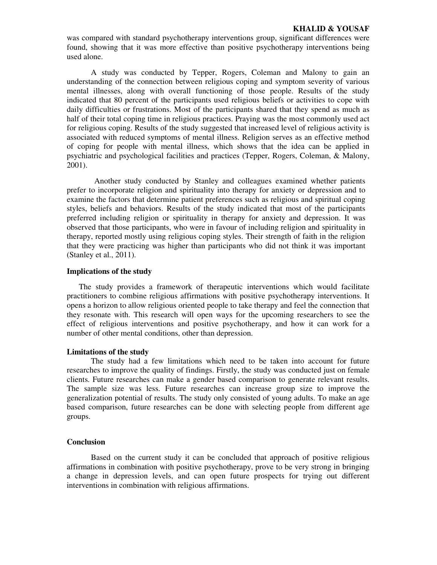was compared with standard psychotherapy interventions group, significant differences were found, showing that it was more effective than positive psychotherapy interventions being used alone.

A study was conducted by Tepper, Rogers, Coleman and Malony to gain an understanding of the connection between religious coping and symptom severity of various mental illnesses, along with overall functioning of those people. Results of the study indicated that 80 percent of the participants used religious beliefs or activities to cope with daily difficulties or frustrations. Most of the participants shared that they spend as much as half of their total coping time in religious practices. Praying was the most commonly used act for religious coping. Results of the study suggested that increased level of religious activity is associated with reduced symptoms of mental illness. Religion serves as an effective method of coping for people with mental illness, which shows that the idea can be applied in psychiatric and psychological facilities and practices (Tepper, Rogers, Coleman, & Malony, 2001).

 Another study conducted by Stanley and colleagues examined whether patients prefer to incorporate religion and spirituality into therapy for anxiety or depression and to examine the factors that determine patient preferences such as religious and spiritual coping styles, beliefs and behaviors. Results of the study indicated that most of the participants preferred including religion or spirituality in therapy for anxiety and depression. It was observed that those participants, who were in favour of including religion and spirituality in therapy, reported mostly using religious coping styles. Their strength of faith in the religion that they were practicing was higher than participants who did not think it was important (Stanley et al., 2011).

## **Implications of the study**

The study provides a framework of therapeutic interventions which would facilitate practitioners to combine religious affirmations with positive psychotherapy interventions. It opens a horizon to allow religious oriented people to take therapy and feel the connection that they resonate with. This research will open ways for the upcoming researchers to see the effect of religious interventions and positive psychotherapy, and how it can work for a number of other mental conditions, other than depression.

#### **Limitations of the study**

 The study had a few limitations which need to be taken into account for future researches to improve the quality of findings. Firstly, the study was conducted just on female clients. Future researches can make a gender based comparison to generate relevant results. The sample size was less. Future researches can increase group size to improve the generalization potential of results. The study only consisted of young adults. To make an age based comparison, future researches can be done with selecting people from different age groups.

### **Conclusion**

Based on the current study it can be concluded that approach of positive religious affirmations in combination with positive psychotherapy, prove to be very strong in bringing a change in depression levels, and can open future prospects for trying out different interventions in combination with religious affirmations.